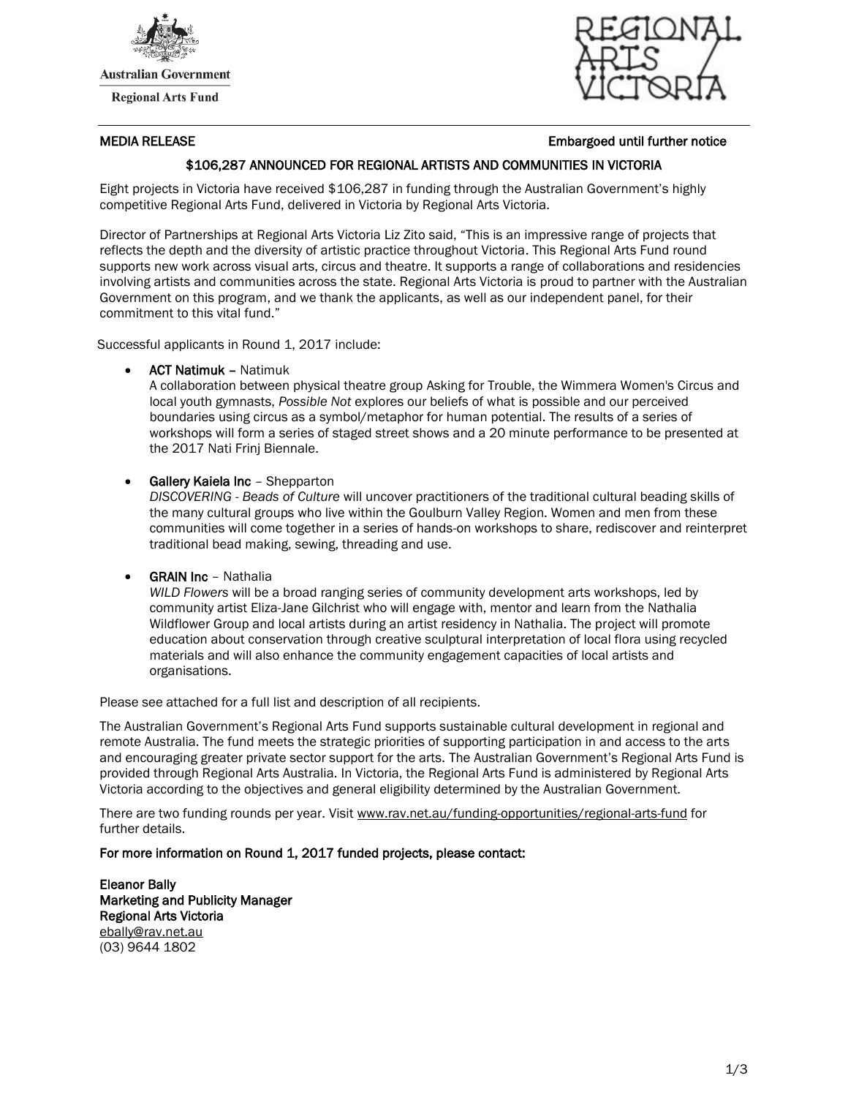

**Australian Government** 

**Regional Arts Fund** 



### MEDIA RELEASE Embargoed until further notice

## \$106,287 ANNOUNCED FOR REGIONAL ARTISTS AND COMMUNITIES IN VICTORIA

Eight projects in Victoria have received \$106,287 in funding through the Australian Government's highly competitive Regional Arts Fund, delivered in Victoria by Regional Arts Victoria.

Director of Partnerships at Regional Arts Victoria Liz Zito said, "This is an impressive range of projects that reflects the depth and the diversity of artistic practice throughout Victoria. This Regional Arts Fund round supports new work across visual arts, circus and theatre. It supports a range of collaborations and residencies involving artists and communities across the state. Regional Arts Victoria is proud to partner with the Australian Government on this program, and we thank the applicants, as well as our independent panel, for their commitment to this vital fund."

Successful applicants in Round 1, 2017 include:

ACT Natimuk – Natimuk

A collaboration between physical theatre group Asking for Trouble, the Wimmera Women's Circus and local youth gymnasts, *Possible Not* explores our beliefs of what is possible and our perceived boundaries using circus as a symbol/metaphor for human potential. The results of a series of workshops will form a series of staged street shows and a 20 minute performance to be presented at the 2017 Nati Frinj Biennale.

Gallery Kaiela Inc – Shepparton

*DISCOVERING - Beads of Culture* will uncover practitioners of the traditional cultural beading skills of the many cultural groups who live within the Goulburn Valley Region. Women and men from these communities will come together in a series of hands-on workshops to share, rediscover and reinterpret traditional bead making, sewing, threading and use.

• **GRAIN Inc** - Nathalia

*WILD Flowers* will be a broad ranging series of community development arts workshops, led by community artist Eliza-Jane Gilchrist who will engage with, mentor and learn from the Nathalia Wildflower Group and local artists during an artist residency in Nathalia. The project will promote education about conservation through creative sculptural interpretation of local flora using recycled materials and will also enhance the community engagement capacities of local artists and organisations.

Please see attached for a full list and description of all recipients.

The Australian Government's Regional Arts Fund supports sustainable cultural development in regional and remote Australia. The fund meets the strategic priorities of supporting participation in and access to the arts and encouraging greater private sector support for the arts. The Australian Government's Regional Arts Fund is provided through Regional Arts Australia. In Victoria, the Regional Arts Fund is administered by Regional Arts Victoria according to the objectives and general eligibility determined by the Australian Government.

There are two funding rounds per year. Visit [www.rav.net.au/funding-opportunities/regional-arts-fund](http://www.rav.net.au/funding-opportunities/regional-arts-fund) for further details.

For more information on Round 1, 2017 funded projects, please contact:

Eleanor Bally Marketing and Publicity Manager Regional Arts Victoria [ebally@rav.net.au](mailto:ebally@rav.net.au) (03) 9644 1802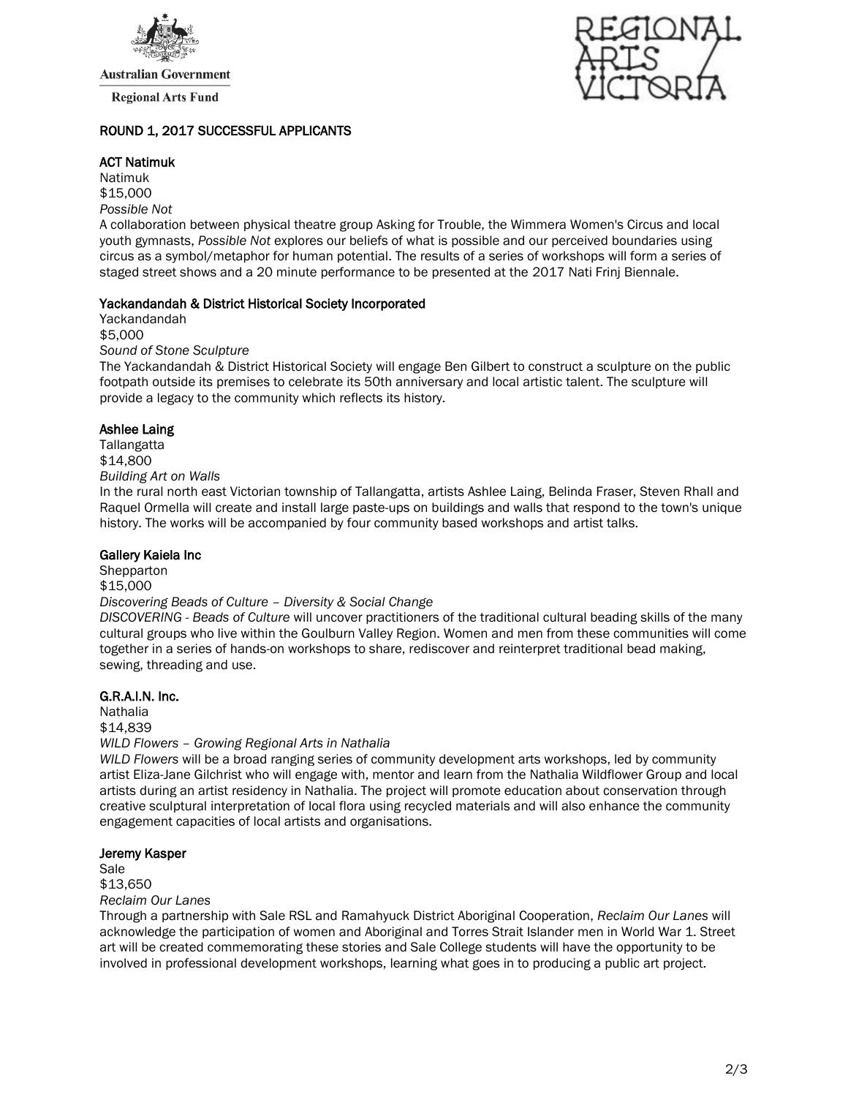

**Australian Government** 

**Regional Arts Fund** 

### ROUND 1, 2017 SUCCESSFUL APPLICANTS

### ACT Natimuk

Natimuk \$15,000 *Possible Not*

A collaboration between physical theatre group Asking for Trouble, the Wimmera Women's Circus and local youth gymnasts, *Possible Not* explores our beliefs of what is possible and our perceived boundaries using circus as a symbol/metaphor for human potential. The results of a series of workshops will form a series of staged street shows and a 20 minute performance to be presented at the 2017 Nati Frinj Biennale.

#### Yackandandah & District Historical Society Incorporated

Yackandandah \$5,000 *Sound of Stone Sculpture*

The Yackandandah & District Historical Society will engage Ben Gilbert to construct a sculpture on the public footpath outside its premises to celebrate its 50th anniversary and local artistic talent. The sculpture will provide a legacy to the community which reflects its history.

## Ashlee Laing

**Tallangatta** \$14,800 *Building Art on Walls*

In the rural north east Victorian township of Tallangatta, artists Ashlee Laing, Belinda Fraser, Steven Rhall and Raquel Ormella will create and install large paste-ups on buildings and walls that respond to the town's unique history. The works will be accompanied by four community based workshops and artist talks.

### Gallery Kaiela Inc

Shepparton \$15,000 *Discovering Beads of Culture – Diversity & Social Change DISCOVERING - Beads of Culture* will uncover practitioners of the traditional cultural beading skills of the many

cultural groups who live within the Goulburn Valley Region. Women and men from these communities will come together in a series of hands-on workshops to share, rediscover and reinterpret traditional bead making, sewing, threading and use.

# G.R.A.I.N. Inc.

Nathalia \$14,839 *WILD Flowers – Growing Regional Arts in Nathalia*

*WILD Flowers* will be a broad ranging series of community development arts workshops, led by community artist Eliza-Jane Gilchrist who will engage with, mentor and learn from the Nathalia Wildflower Group and local artists during an artist residency in Nathalia. The project will promote education about conservation through creative sculptural interpretation of local flora using recycled materials and will also enhance the community engagement capacities of local artists and organisations.

#### Jeremy Kasper

Sale \$13,650 *Reclaim Our Lanes*

Through a partnership with Sale RSL and Ramahyuck District Aboriginal Cooperation, *Reclaim Our Lanes* will acknowledge the participation of women and Aboriginal and Torres Strait Islander men in World War 1. Street art will be created commemorating these stories and Sale College students will have the opportunity to be involved in professional development workshops, learning what goes in to producing a public art project.